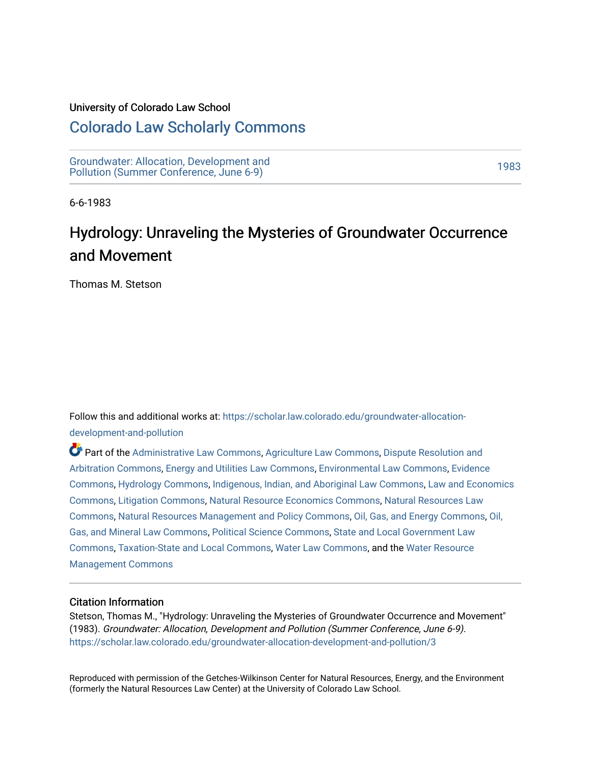### University of Colorado Law School

# [Colorado Law Scholarly Commons](https://scholar.law.colorado.edu/)

[Groundwater: Allocation, Development and](https://scholar.law.colorado.edu/groundwater-allocation-development-and-pollution)  Giodinavater. Allocation, Development and<br>Pollution (Summer Conference, June 6-9)

6-6-1983

# Hydrology: Unraveling the Mysteries of Groundwater Occurrence and Movement

Thomas M. Stetson

Follow this and additional works at: [https://scholar.law.colorado.edu/groundwater-allocation](https://scholar.law.colorado.edu/groundwater-allocation-development-and-pollution?utm_source=scholar.law.colorado.edu%2Fgroundwater-allocation-development-and-pollution%2F3&utm_medium=PDF&utm_campaign=PDFCoverPages)[development-and-pollution](https://scholar.law.colorado.edu/groundwater-allocation-development-and-pollution?utm_source=scholar.law.colorado.edu%2Fgroundwater-allocation-development-and-pollution%2F3&utm_medium=PDF&utm_campaign=PDFCoverPages)

Part of the [Administrative Law Commons,](http://network.bepress.com/hgg/discipline/579?utm_source=scholar.law.colorado.edu%2Fgroundwater-allocation-development-and-pollution%2F3&utm_medium=PDF&utm_campaign=PDFCoverPages) [Agriculture Law Commons](http://network.bepress.com/hgg/discipline/581?utm_source=scholar.law.colorado.edu%2Fgroundwater-allocation-development-and-pollution%2F3&utm_medium=PDF&utm_campaign=PDFCoverPages), [Dispute Resolution and](http://network.bepress.com/hgg/discipline/890?utm_source=scholar.law.colorado.edu%2Fgroundwater-allocation-development-and-pollution%2F3&utm_medium=PDF&utm_campaign=PDFCoverPages) [Arbitration Commons](http://network.bepress.com/hgg/discipline/890?utm_source=scholar.law.colorado.edu%2Fgroundwater-allocation-development-and-pollution%2F3&utm_medium=PDF&utm_campaign=PDFCoverPages), [Energy and Utilities Law Commons](http://network.bepress.com/hgg/discipline/891?utm_source=scholar.law.colorado.edu%2Fgroundwater-allocation-development-and-pollution%2F3&utm_medium=PDF&utm_campaign=PDFCoverPages), [Environmental Law Commons,](http://network.bepress.com/hgg/discipline/599?utm_source=scholar.law.colorado.edu%2Fgroundwater-allocation-development-and-pollution%2F3&utm_medium=PDF&utm_campaign=PDFCoverPages) [Evidence](http://network.bepress.com/hgg/discipline/601?utm_source=scholar.law.colorado.edu%2Fgroundwater-allocation-development-and-pollution%2F3&utm_medium=PDF&utm_campaign=PDFCoverPages)  [Commons](http://network.bepress.com/hgg/discipline/601?utm_source=scholar.law.colorado.edu%2Fgroundwater-allocation-development-and-pollution%2F3&utm_medium=PDF&utm_campaign=PDFCoverPages), [Hydrology Commons](http://network.bepress.com/hgg/discipline/1054?utm_source=scholar.law.colorado.edu%2Fgroundwater-allocation-development-and-pollution%2F3&utm_medium=PDF&utm_campaign=PDFCoverPages), [Indigenous, Indian, and Aboriginal Law Commons](http://network.bepress.com/hgg/discipline/894?utm_source=scholar.law.colorado.edu%2Fgroundwater-allocation-development-and-pollution%2F3&utm_medium=PDF&utm_campaign=PDFCoverPages), [Law and Economics](http://network.bepress.com/hgg/discipline/612?utm_source=scholar.law.colorado.edu%2Fgroundwater-allocation-development-and-pollution%2F3&utm_medium=PDF&utm_campaign=PDFCoverPages)  [Commons](http://network.bepress.com/hgg/discipline/612?utm_source=scholar.law.colorado.edu%2Fgroundwater-allocation-development-and-pollution%2F3&utm_medium=PDF&utm_campaign=PDFCoverPages), [Litigation Commons,](http://network.bepress.com/hgg/discipline/910?utm_source=scholar.law.colorado.edu%2Fgroundwater-allocation-development-and-pollution%2F3&utm_medium=PDF&utm_campaign=PDFCoverPages) [Natural Resource Economics Commons,](http://network.bepress.com/hgg/discipline/169?utm_source=scholar.law.colorado.edu%2Fgroundwater-allocation-development-and-pollution%2F3&utm_medium=PDF&utm_campaign=PDFCoverPages) [Natural Resources Law](http://network.bepress.com/hgg/discipline/863?utm_source=scholar.law.colorado.edu%2Fgroundwater-allocation-development-and-pollution%2F3&utm_medium=PDF&utm_campaign=PDFCoverPages)  [Commons](http://network.bepress.com/hgg/discipline/863?utm_source=scholar.law.colorado.edu%2Fgroundwater-allocation-development-and-pollution%2F3&utm_medium=PDF&utm_campaign=PDFCoverPages), [Natural Resources Management and Policy Commons,](http://network.bepress.com/hgg/discipline/170?utm_source=scholar.law.colorado.edu%2Fgroundwater-allocation-development-and-pollution%2F3&utm_medium=PDF&utm_campaign=PDFCoverPages) [Oil, Gas, and Energy Commons,](http://network.bepress.com/hgg/discipline/171?utm_source=scholar.law.colorado.edu%2Fgroundwater-allocation-development-and-pollution%2F3&utm_medium=PDF&utm_campaign=PDFCoverPages) [Oil,](http://network.bepress.com/hgg/discipline/864?utm_source=scholar.law.colorado.edu%2Fgroundwater-allocation-development-and-pollution%2F3&utm_medium=PDF&utm_campaign=PDFCoverPages)  [Gas, and Mineral Law Commons](http://network.bepress.com/hgg/discipline/864?utm_source=scholar.law.colorado.edu%2Fgroundwater-allocation-development-and-pollution%2F3&utm_medium=PDF&utm_campaign=PDFCoverPages), [Political Science Commons](http://network.bepress.com/hgg/discipline/386?utm_source=scholar.law.colorado.edu%2Fgroundwater-allocation-development-and-pollution%2F3&utm_medium=PDF&utm_campaign=PDFCoverPages), [State and Local Government Law](http://network.bepress.com/hgg/discipline/879?utm_source=scholar.law.colorado.edu%2Fgroundwater-allocation-development-and-pollution%2F3&utm_medium=PDF&utm_campaign=PDFCoverPages) [Commons](http://network.bepress.com/hgg/discipline/879?utm_source=scholar.law.colorado.edu%2Fgroundwater-allocation-development-and-pollution%2F3&utm_medium=PDF&utm_campaign=PDFCoverPages), [Taxation-State and Local Commons](http://network.bepress.com/hgg/discipline/882?utm_source=scholar.law.colorado.edu%2Fgroundwater-allocation-development-and-pollution%2F3&utm_medium=PDF&utm_campaign=PDFCoverPages), [Water Law Commons,](http://network.bepress.com/hgg/discipline/887?utm_source=scholar.law.colorado.edu%2Fgroundwater-allocation-development-and-pollution%2F3&utm_medium=PDF&utm_campaign=PDFCoverPages) and the [Water Resource](http://network.bepress.com/hgg/discipline/1057?utm_source=scholar.law.colorado.edu%2Fgroundwater-allocation-development-and-pollution%2F3&utm_medium=PDF&utm_campaign=PDFCoverPages) [Management Commons](http://network.bepress.com/hgg/discipline/1057?utm_source=scholar.law.colorado.edu%2Fgroundwater-allocation-development-and-pollution%2F3&utm_medium=PDF&utm_campaign=PDFCoverPages)

### Citation Information

Stetson, Thomas M., "Hydrology: Unraveling the Mysteries of Groundwater Occurrence and Movement" (1983). Groundwater: Allocation, Development and Pollution (Summer Conference, June 6-9). [https://scholar.law.colorado.edu/groundwater-allocation-development-and-pollution/3](https://scholar.law.colorado.edu/groundwater-allocation-development-and-pollution/3?utm_source=scholar.law.colorado.edu%2Fgroundwater-allocation-development-and-pollution%2F3&utm_medium=PDF&utm_campaign=PDFCoverPages)

Reproduced with permission of the Getches-Wilkinson Center for Natural Resources, Energy, and the Environment (formerly the Natural Resources Law Center) at the University of Colorado Law School.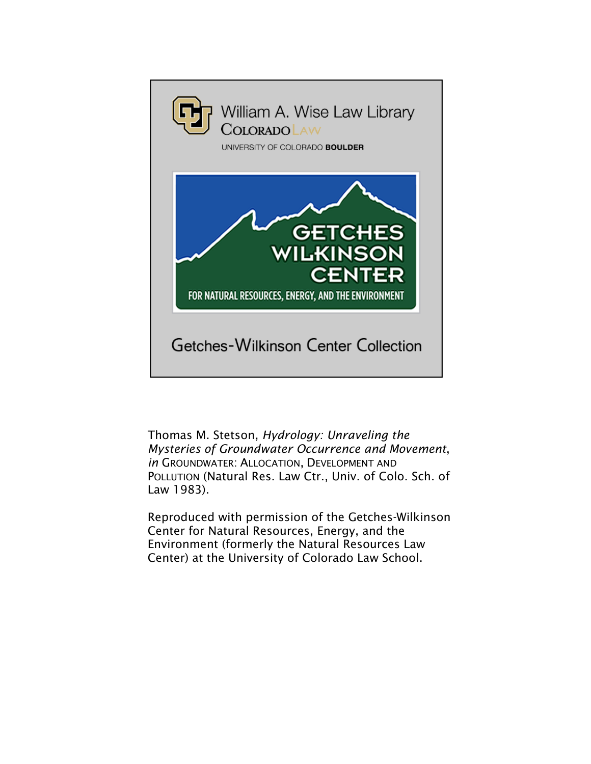

Thomas M. Stetson, *Hydrology: Unraveling the Mysteries of Groundwater Occurrence and Movement*, *in* GROUNDWATER: ALLOCATION, DEVELOPMENT AND POLLUTION (Natural Res. Law Ctr., Univ. of Colo. Sch. of Law 1983).

Reproduced with permission of the Getches-Wilkinson Center for Natural Resources, Energy, and the Environment (formerly the Natural Resources Law Center) at the University of Colorado Law School.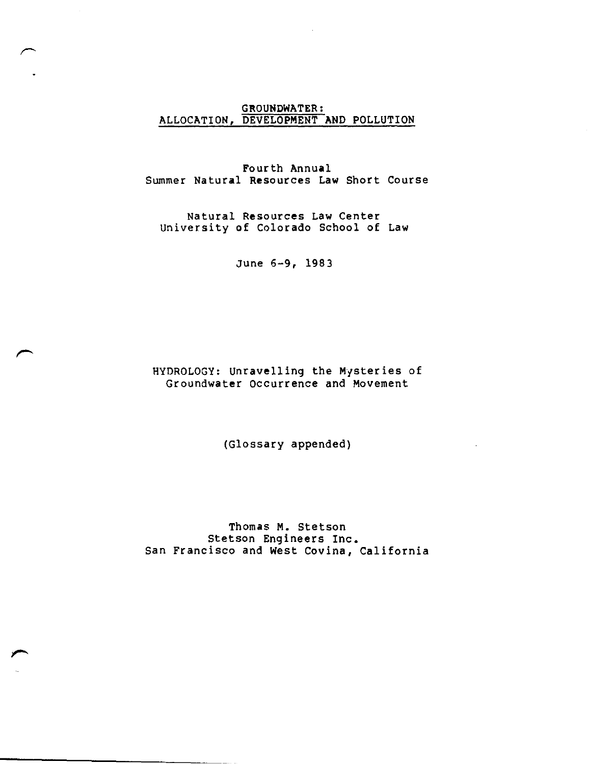GROUNDWATER: ALLOCATION, DEVELOPMENT AND POLLUTION

Fourth Annual Summer Natural Resources Law Short Course

Natural Resources Law Center University of Colorado School of Law

June 6-9, 1983

HYDROLOGY: Unravelling the Mysteries of Groundwater Occurrence and Movement

(Glossary appended)

Thomas M. Stetson Stetson Engineers Inc. San Francisco and West Covina, California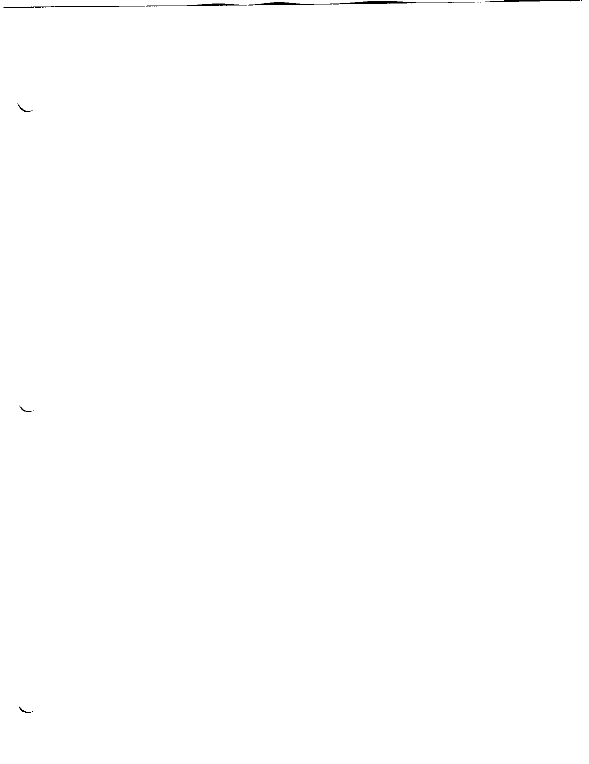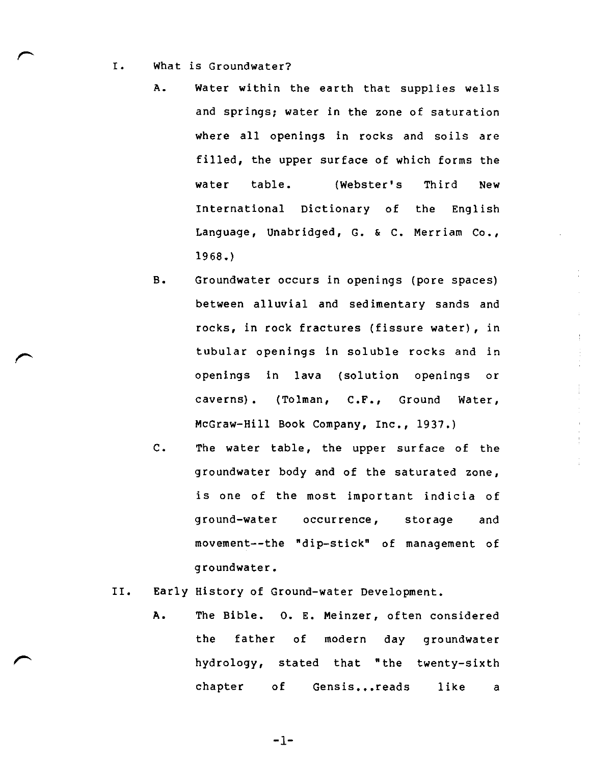I. What is Groundwater?

 $\overline{a}$ 

- A. Water within the earth that supplies wells and springs; water in the zone of saturation where all openings in rocks and soils are filled, the upper surface of which forms the water table. (Webster's Third New International Dictionary of the English Language, Unabridged, G. & C. Merriam Co., 1968.)
- B. Groundwater occurs in openings (pore spaces) between alluvial and sedimentary sands and rocks, in rock fractures (fissure water), in tubular openings in soluble rocks and in openings in lava (solution openings or caverns). (Tolman, C.F., Ground Water, McGraw-Hill Book Company, Inc., 1937.)
- C. The water table, the upper surface of the groundwater body and of the saturated zone, is one of the most important indicia of ground-water occurrence, storage and movement--the "dip-stick" of management of groundwater.
- II. Early History of Ground-water Development.
	- A. The Bible. 0. E. Meinzer, often considered the father of modern day groundwater hydrology, stated that "the twenty-sixth chapter of Gensis...reads like a

-1-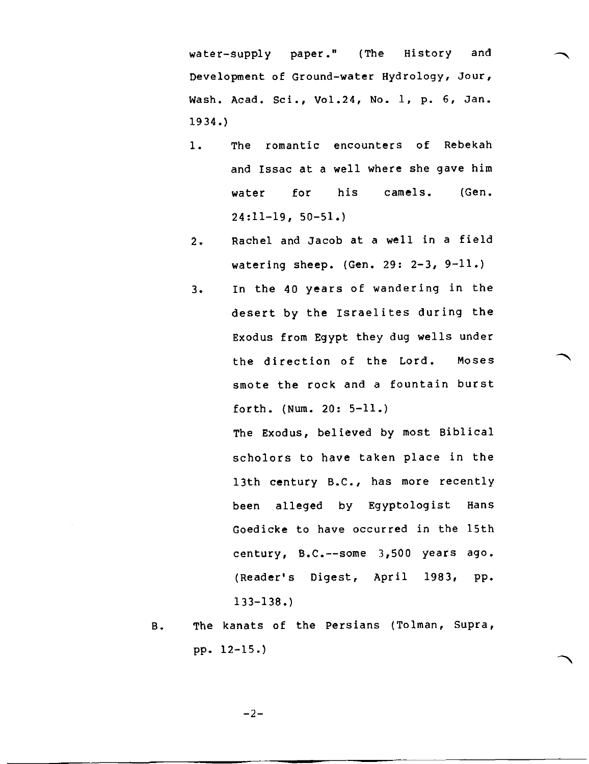water-supply paper." (The History and Development of Ground-water Hydrology, Jour, Wash. Acad. Sci., Vol.24, No. 1, p. 6, Jan. 1934.)

- 1. The romantic encounters of Rebekah and Issac at a well where she gave him water for his camels. (Gen. 24:11-19, 50-51.)
- 2. Rachel and Jacob at a well in a field watering sheep. (Gen. 29: 2-3, 9-11.)
- 3. In the 40 years of wandering in the desert by the Israelites during the Exodus from Egypt they dug wells under the direction of the Lord. Moses smote the rock and a fountain burst forth. (Num. 20: 5-11.)

The Exodus, believed by most Biblical scholors to have taken place in the 13th century B.C., has more recently been alleged by Egyptologist Hans Goedicke to have occurred in the 15th century, B.C.--some 3,500 years ago. (Reader's Digest, April 1983, pp. 133-138.)

B. The kanats of the Persians (Tolman, Supra, pp. 12-15.)

 $-2-$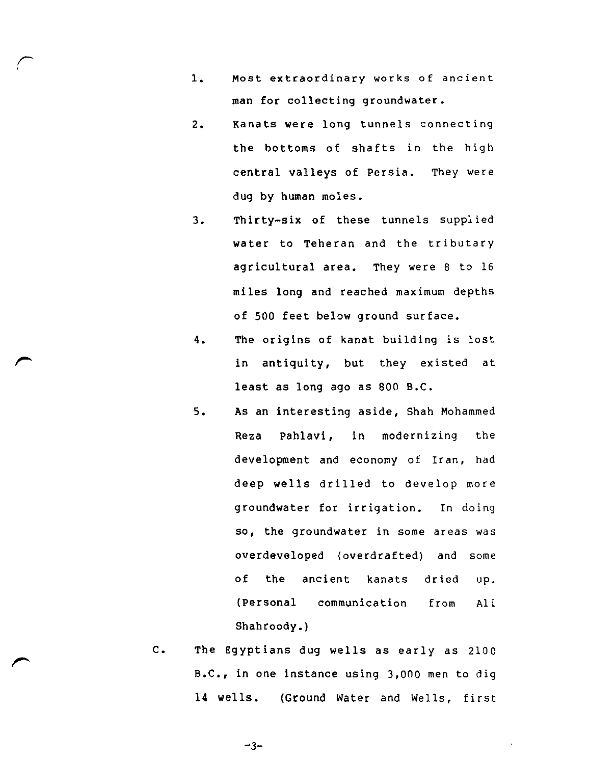1. most extraordinary works of ancient man for collecting groundwater.

 $\sqrt{2}$ 

- 2. Kanats were long tunnels connecting the bottoms of shafts in the high central valleys of Persia. They were dug by human moles.
- 3. Thirty-six of these tunnels supplied water to Teheran and the tributary agricultural area. They were 8 to 16 miles long and reached maximum depths of 500 feet below ground surface.
- 4. The origins of kanat building is lost in antiquity, but they existed at least as long ago as 800 B.C.
- 5. As an interesting aside, Shah Mohammed Reza Pahlavi, in modernizing the development and economy of Iran, had deep wells drilled to develop more groundwater for irrigation. In doing so, the groundwater in some areas was overdeveloped (overdrafted) and some of the ancient kanats dried up. (Personal communication from Ali Shahroody.)
- C. The Egyptians dug wells as early as 2100 B.C., in one instance using 3,000 men to dig 14 wells. (Ground Water and Wells, first

-3-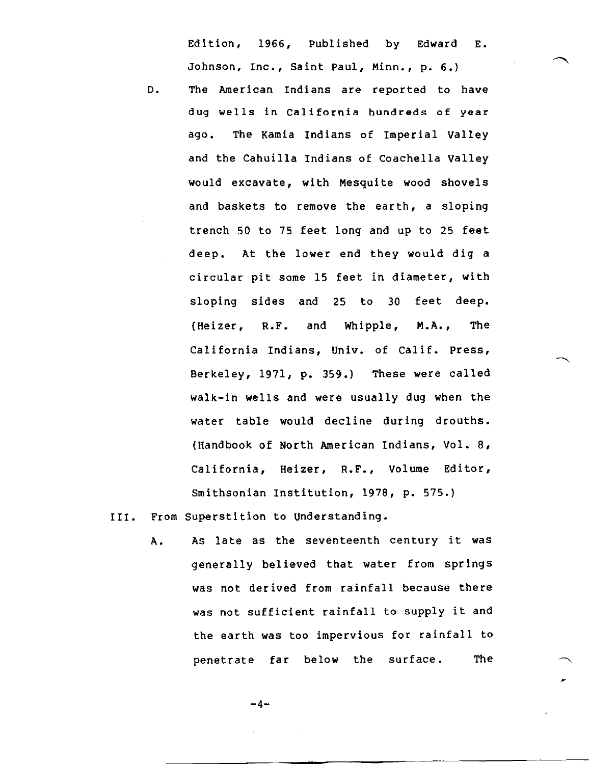Edition, 1966, Published by Edward E. Johnson, Inc., Saint Paul, Minn., p. 6.)

D. The American Indians are reported to have dug wells in California hundreds of year ago. The Kamia Indians of Imperial Valley and the Cahuilla Indians of Coachella Valley would excavate, with Mesquite wood shovels and baskets to remove the earth, a sloping trench 50 to 75 feet long and up to 25 feet deep. At the lower end they would dig a circular pit some 15 feet in diameter, with sloping sides and 25 to 30 feet deep. (Heizer, R.F. and Whipple, M.A., The California Indians, Univ. of Calif. Press, Berkeley, 1971, p. 359.) These were called walk-in wells and were usually dug when the water table would decline during drouths. (Handbook of North American Indians, Vol. 8, California, Heizer, R.F., Volume Editor, Smithsonian Institution, 1978, p. 575.)

III. From Superstition to Understanding.

A. As late as the seventeenth century it was generally believed that water from springs was not derived from rainfall because there was not sufficient rainfall to supply it and the earth was too impervious for rainfall to penetrate far below the surface. The

 $-4-$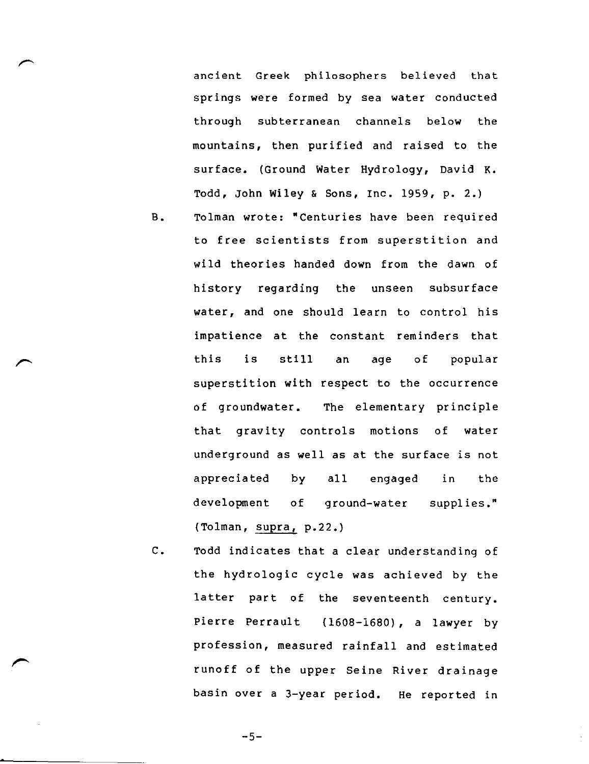ancient Greek philosophers believed that springs were formed by sea water conducted through subterranean channels below the mountains, then purified and raised to the surface. (Ground Water Hydrology, David K. Todd, John Wiley & Sons, Inc. 1959, p. 2.)

- B. Tolman wrote: "Centuries have been required to free scientists from superstition and wild theories handed down from the dawn of history regarding the unseen subsurface water, and one should learn to control his impatience at the constant reminders that this is still an age of popular superstition with respect to the occurrence of groundwater. The elementary principle that gravity controls motions of water underground as well as at the surface is not appreciated by all engaged in the development of ground-water supplies."  $(Tolman, supra, p.22.)$
- C. Todd indicates that a clear understanding of the hydrologic cycle was achieved by the latter part of the seventeenth century. Pierre Perrault (1608-1680), a lawyer by profession, measured rainfall and estimated runoff of the upper Seine River drainage basin over a 3-year period. He reported in

-5-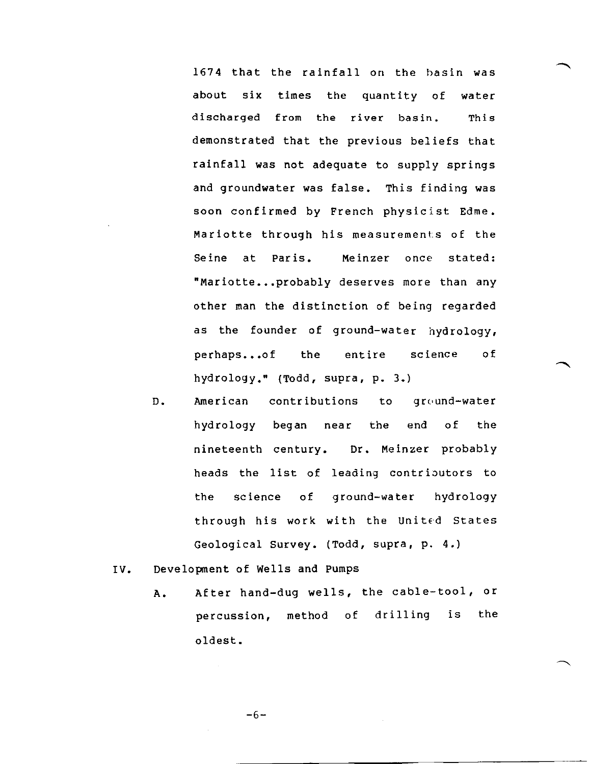1674 that the rainfall on the basin was about six times the quantity of water discharged from the river basin. This demonstrated that the previous beliefs that rainfall was not adequate to supply springs and groundwater was false. This finding was soon confirmed by French physicist Edme. Mariotte through his measurements of the Seine at Paris. Meinzer once stated: "Mariotte...probably deserves more than any other man the distinction of being regarded as the founder of ground-water hydrology, perhaps...of the entire science of hydrology." (Todd, supra, p. 3.)

- D. American contributions to ground-water hydrology began near the end of the nineteenth century. Dr. Meinzer probably heads the list of leading contrioutors to the science of ground-water hydrology through his work with the United States Geological Survey. (Todd, supra, p. 4.)
- IV. Development of Wells and Pumps
	- A. After hand-dug wells, the cable-tool, or percussion, method of drilling is the oldest.

 $-6-$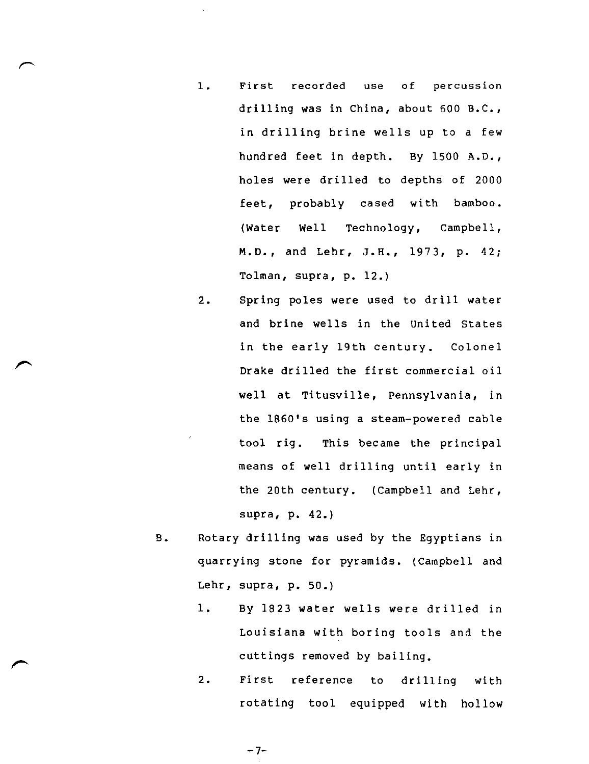- 1. First recorded use of percussion drilling was in China, about 600 B.C., in drilling brine wells up to a few hundred feet in depth. By 1500 A.D., holes were drilled to depths of 2000 feet, probably cased with bamboo. (Water Well Technology, Campbell, M.D., and Lehr, J.H., 1973, p. 42; Tolman, supra, p. 12.)
- 2. Spring poles were used to drill water and brine wells in the United States in the early 19th century. Colonel Drake drilled the first commercial oil well at Titusville, Pennsylvania, in the 1860's using a steam-powered cable tool rig. This became the principal means of well drilling until early in the 20th century. (Campbell and Lehr, supra, p. 42.)
- B. Rotary drilling was used by the Egyptians in quarrying stone for pyramids. (Campbell and Lehr, supra, p. 50.)
	- 1. By 1823 water wells were drilled in Louisiana with boring tools and the cuttings removed by bailing.
	- 2. First reference to drilling with rotating tool equipped with hollow

$$
-7-
$$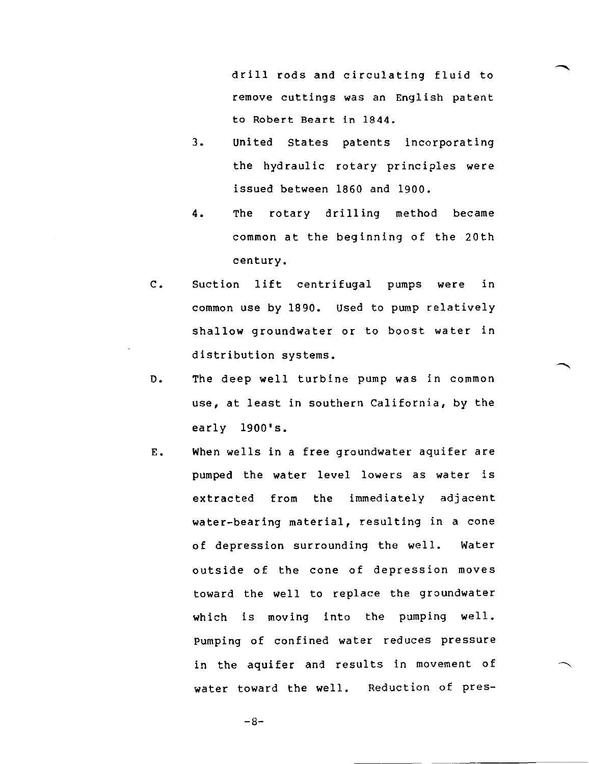drill rods and circulating fluid to remove cuttings was an English patent to Robert Beart in 1844.

- 3. United States patents incorporating the hydraulic rotary principles were issued between 1860 and 1900.
- 4. The rotary drilling method became common at the beginning of the 20th century.
- C. Suction lift centrifugal pumps were in common use by 1890. Used to pump relatively shallow groundwater or to boost water in distribution systems.
- D. The deep well turbine pump was in common use, at least in southern California, by the early 1900's.
- E. When wells in a free groundwater aquifer are pumped the water level lowers as water is extracted from the immediately adjacent water-bearing material, resulting in a cone of depression surrounding the well. Water outside of the cone of depression moves toward the well to replace the groundwater which is moving into the pumping well. Pumping of confined water reduces pressure in the aquifer and results in movement of water toward the well. Reduction of pres-

 $-8-$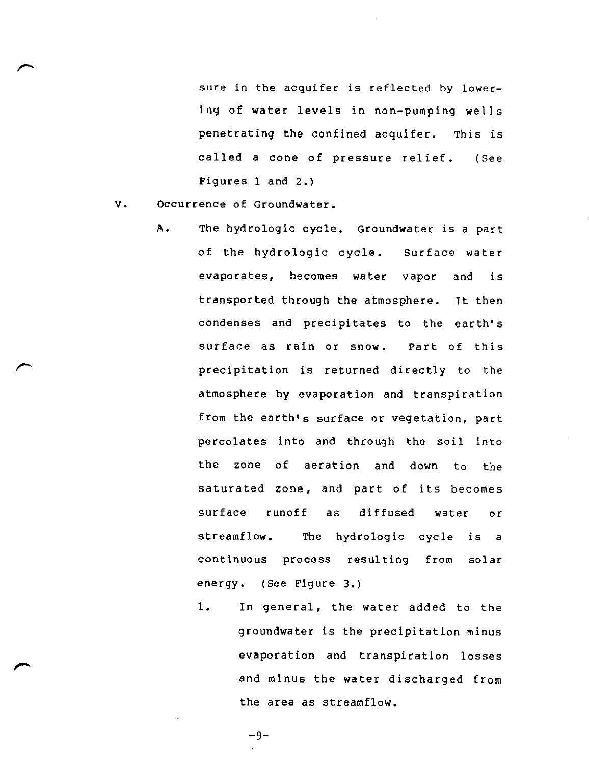sure in the acquifer is reflected by lowering of water levels in non-pumping wells penetrating the confined acquifer. This is called a cone of pressure relief. (See Figures 1 and 2.)

- V. Occurrence of Groundwater.
	- A. The hydrologic cycle. Groundwater is a part of the hydrologic cycle. Surface water evaporates, becomes water vapor and is transported through the atmosphere. It then condenses and precipitates to the earth's surface as rain or snow. Part of this precipitation is returned directly to the atmosphere by evaporation and transpiration from the earth's surface or vegetation, part percolates into and through the soil into the zone of aeration and down to the saturated zone, and part of its becomes surface runoff as diffused water or streamflow. The hydrologic cycle is a continuous process resulting from solar energy. (See Figure 3.)
		- 1. In general, the water added to the groundwater is the precipitation minus evaporation and transpiration losses and minus the water discharged from the area as streamflow.

-9-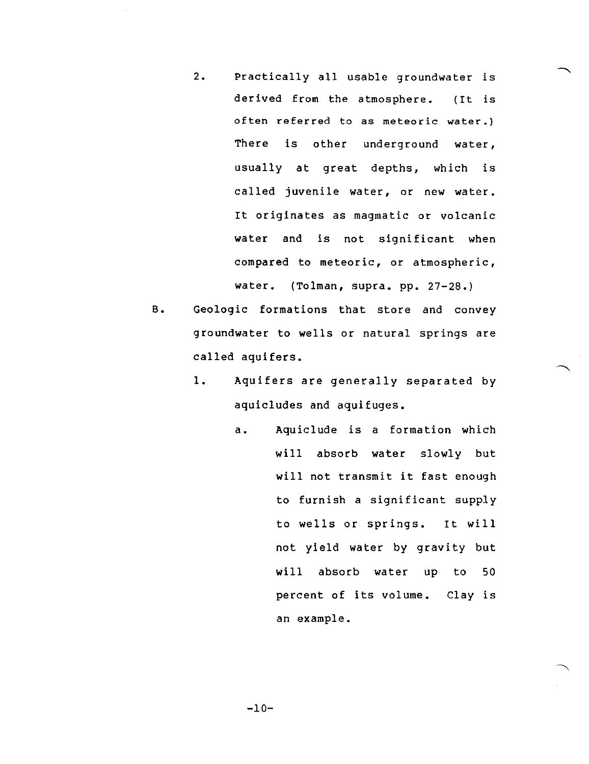- 2. Practically all usable groundwater is derived from the atmosphere. (It is often referred to as meteoric water.) There is other underground water, usually at great depths, which is called juvenile water, or new water. It originates as magmatic or volcanic water and is not significant when compared to meteoric, or atmospheric, water. (Tolman, supra. pp. 27-28.)
- B. Geologic formations that store and convey groundwater to wells or natural springs are called aquifers.
	- 1. Aquifers are generally separated by aquicludes and aquifuges.
		- a. Aquiclude is a formation which will absorb water slowly but will not transmit it fast enough to furnish a significant supply to wells or springs. It will not yield water by gravity but will absorb water up to 50 percent of its volume. Clay is an example.

-10-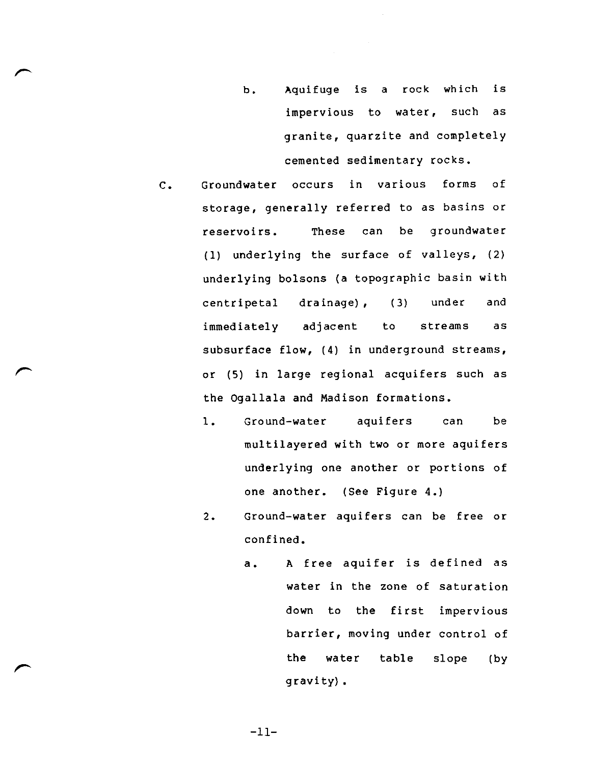- b. Aquifuge is a rock which is impervious to water, such as granite, quarzite and completely cemented sedimentary rocks.
- C. Groundwater occurs in various forms of storage, generally referred to as basins or reservoirs. These can be groundwater (1) underlying the surface of valleys, (2) underlying bolsons (a topographic basin with centripetal drainage), (3) under and immediately adjacent to streams as subsurface flow, (4) in underground streams, or (5) in large regional acquifers such as the Ogallala and Madison formations.
	- 1. Ground-water aquifers can be multilayered with two or more aquifers underlying one another or portions of one another. (See Figure 4.)
	- 2. Ground-water aquifers can be free or confined.
		- a. A free aquifer is defined as water in the zone of saturation down to the first impervious barrier, moving under control of the water table slope (by gravity).

 $-11-$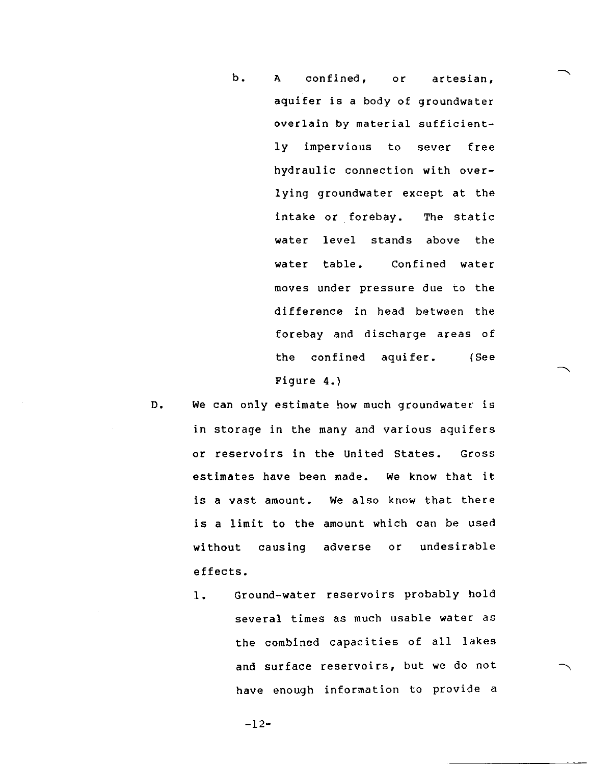b. A confined, or artesian, aquifer is a body of groundwater overlain by material sufficiently impervious to sever free hydraulic connection with overlying groundwater except at the intake or forebay. The static water level stands above the water table. Confined water moves under pressure due to the difference in head between the forebay and discharge areas of the confined aquifer. (See Figure 4.)

- D. We can only estimate how much groundwater is in storage in the many and various aquifers or reservoirs in the United States. Gross estimates have been made. We know that it is a vast amount. We also know that there is a limit to the amount which can be used without causing adverse or undesirable effects.
	- 1. Ground-water reservoirs probably hold several times as much usable water as the combined capacities of all lakes and surface reservoirs, but we do not have enough information to provide a

-12-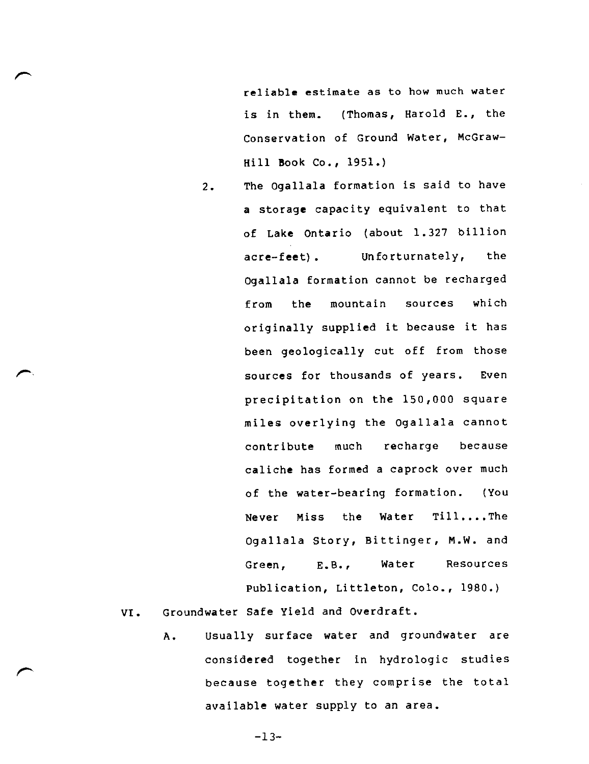reliable estimate as to how much water is in them. (Thomas, Harold E., the Conservation of Ground Water, McGraw-Hill Book Co., 1951.)

2. The Ogallala formation is said to have a storage capacity equivalent to that of Lake Ontario (about 1.327 billion acre-feet). Unforturnately, the Ogallala formation cannot be recharged from the mountain sources which originally supplied it because it has been geologically cut off from those sources for thousands of years. Even precipitation on the 150,000 square miles overlying the Ogallala cannot contribute much recharge because caliche has formed a caprock over much of the water-bearing formation. (You Never Miss the Water Till....The Ogallala Story, Bittinger, M.W. and Green, E.B., Water Resources Publication, Littleton, Colo., 1980.)

# VI. Groundwater Safe Yield and Overdraft.

A. Usually surface water and groundwater are considered together in hydrologic studies because together they comprise the total available water supply to an area.

 $-13-$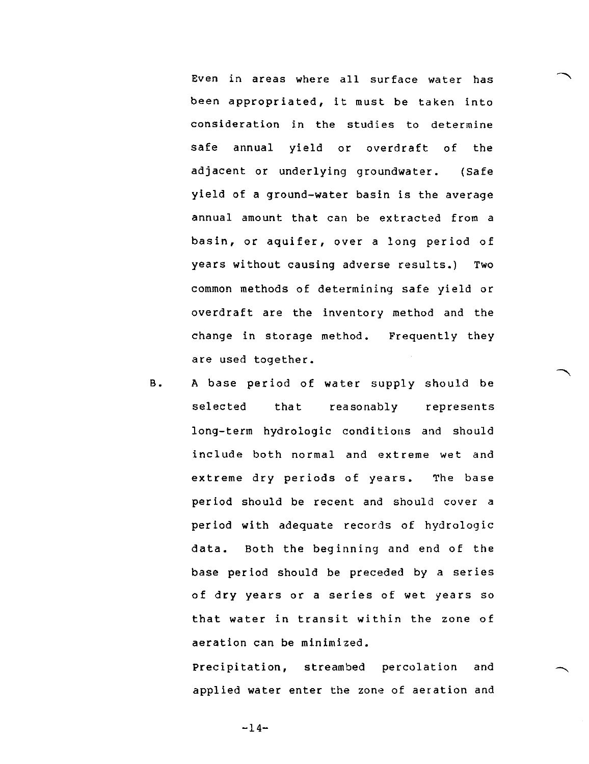Even in areas where all surface water has been appropriated, it must be taken into consideration in the studies to determine safe annual yield or overdraft of the adjacent or underlying groundwater. (Safe yield of a ground-water basin is the average annual amount that can be extracted from a basin, or aquifer, over a long period of years without causing adverse results.) Two common methods of determining safe yield or overdraft are the inventory method and the change in storage method. Frequently they are used together.

B. A base period of water supply should be selected that reasonably represents long-term hydrologic conditions and should include both normal and extreme wet and extreme dry periods of years. The base period should be recent and should cover a period with adequate records of hydrologic data. Both the beginning and end of the base period should be preceded by a series of dry years or a series of wet years so that water in transit within the zone of aeration can be minimized.

> Precipitation, streambed percolation and applied water enter the zone of aeration and

> > -14-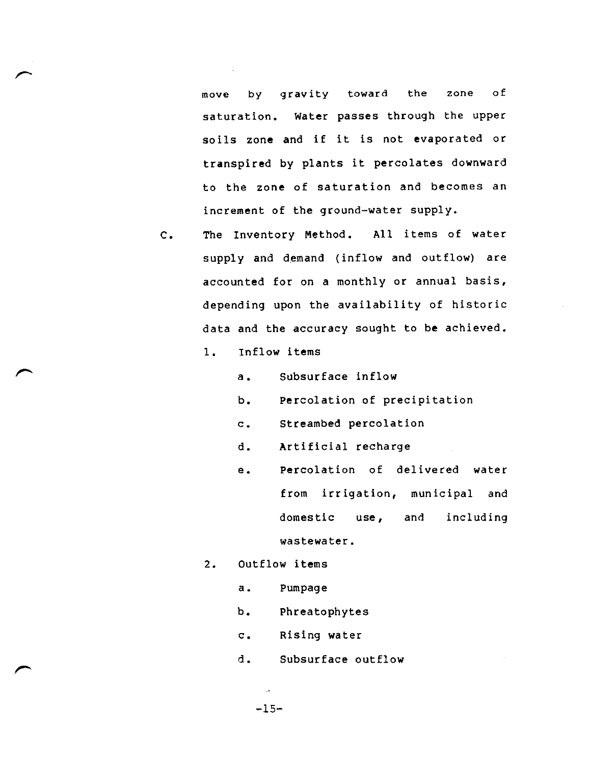move by gravity toward the zone of saturation. Water passes through the upper soils zone and if it is not evaporated or transpired by plants it percolates downward to the zone of saturation and becomes an increment of the ground-water supply.

C. The Inventory Method. All items of water supply and demand (inflow and outflow) are accounted for on a monthly or annual basis, depending upon the availability of historic data and the accuracy sought to be achieved.

1. Inflow items

- a. Subsurface inflow
- b. Percolation of precipitation
- c. Streambed percolation
- d. Artificial recharge
- e. Percolation of delivered water from irrigation, municipal and domestic use, and including wastewater.
- 2. Outflow items
	- a. Pumpage
	- b. Phreatophytes
	- c. Rising water
	- d. Subsurface outflow

 $-15-$ 

 $\sim$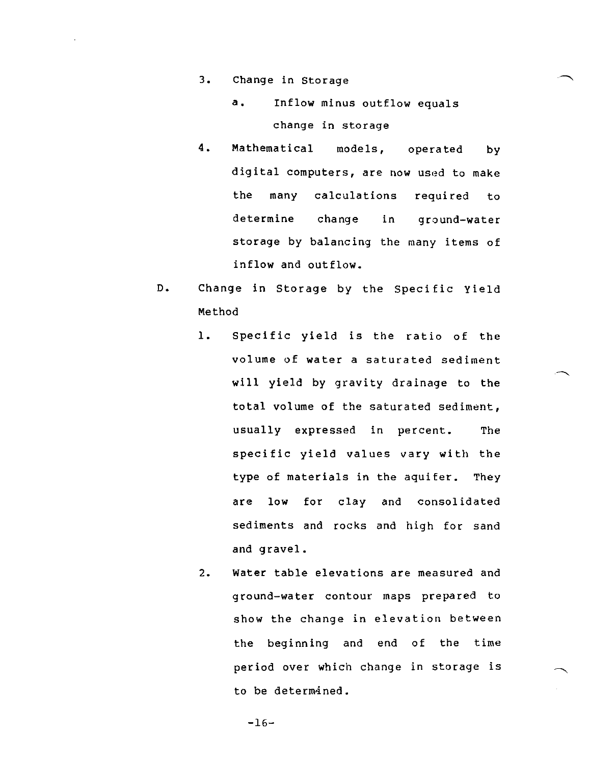- 3. Change in Storage
	- a. Inflow minus outflow equals change in storage
- 4. Mathematical models, operated by digital computers, are now used to make the many calculations required to determine change in ground-water storage by balancing the many items of inflow and outflow.
- D. Change in Storage by the Specific Yield Method
	- 1. Specific yield is the ratio of the volume of water a saturated sediment will yield by gravity drainage to the total volume of the saturated sediment, usually expressed in percent. The specific yield values vary with the type of materials in the aquifer. They are low for clay and consolidated sediments and rocks and high for sand and gravel.
	- 2. Water table elevations are measured and ground-water contour maps prepared to show the change in elevation between the beginning and end of the time period over which change in storage is to be determined.

-16-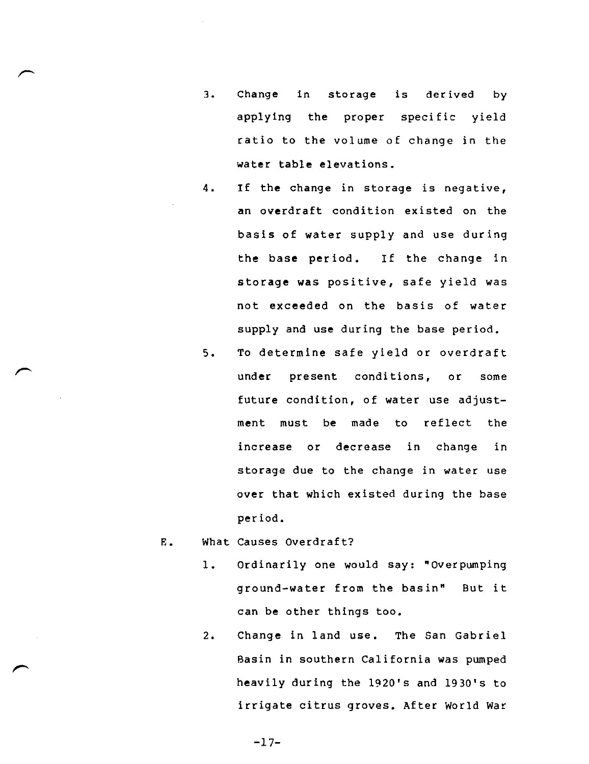- 3. Change in storage is derived by applying the proper specific yield ratio to the volume of change in the water table elevations.
- 4. If the change in storage is negative, an overdraft condition existed on the basis of water supply and use during the base period. If the change in storage was positive, safe yield was not exceeded on the basis of water supply and use during the base period.
- 5. To determine safe yield or overdraft under present conditions, or some future condition, of water use adjustment must be made to reflect the increase or decrease in change in storage due to the change in water use over that which existed during the base period.
- E. What Causes Overdraft?
	- 1. Ordinarily one would say: "Overpumping ground-water from the basin" But it can be other things too.
	- 2. Change in land use. The San Gabriel Basin in southern California was pumped heavily during the 1920's and 1930's to irrigate citrus groves. After World War

 $-17-$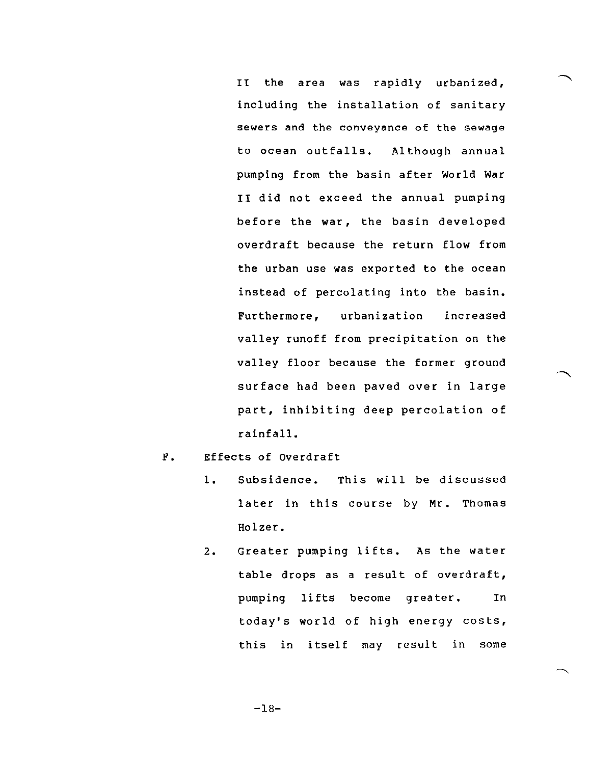IT the area was rapidly urbanized, including the installation of sanitary sewers and the conveyance of the sewage to ocean outfalls. Although annual pumping from the basin after World War II did not exceed the annual pumping before the war, the basin developed overdraft because the return flow from the urban use was exported to the ocean instead of percolating into the basin. Furthermore, urbanization increased valley runoff from precipitation on the valley floor because the former ground surface had been paved over in large part, inhibiting deep percolation of rainfall.

## F. Effects of Overdraft

- 1. Subsidence. This will be discussed later in this course by Mr. Thomas Holzer.
- 2. Greater pumping lifts. As the water table drops as a result of overdraft, pumping lifts become greater. In today's world of high energy costs, this in itself may result in some

-18-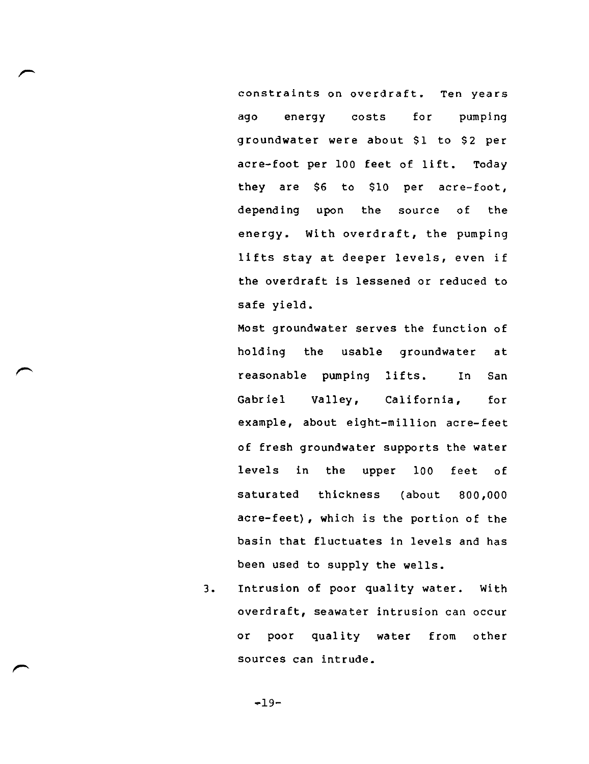constraints on overdraft. Ten years ago energy costs for pumping groundwater were about \$1 to \$2 per acre-foot per 100 feet of lift. Today they are \$6 to \$10 per acre-foot, depending upon the source of the energy. With overdraft, the pumping lifts stay at deeper levels, even if the overdraft is lessened or reduced to safe yield.

Most groundwater serves the function of holding the usable groundwater at reasonable pumping lifts. In San Gabriel Valley, California, for example, about eight-million acre-feet of fresh groundwater supports the water levels in the upper 100 feet of saturated thickness (about 800,000 acre-feet), which is the portion of the basin that fluctuates in levels and has been used to supply the wells.

3. Intrusion of poor quality water. With overdraft, seawater intrusion can occur or poor quality water from other sources can intrude.

 $-19-$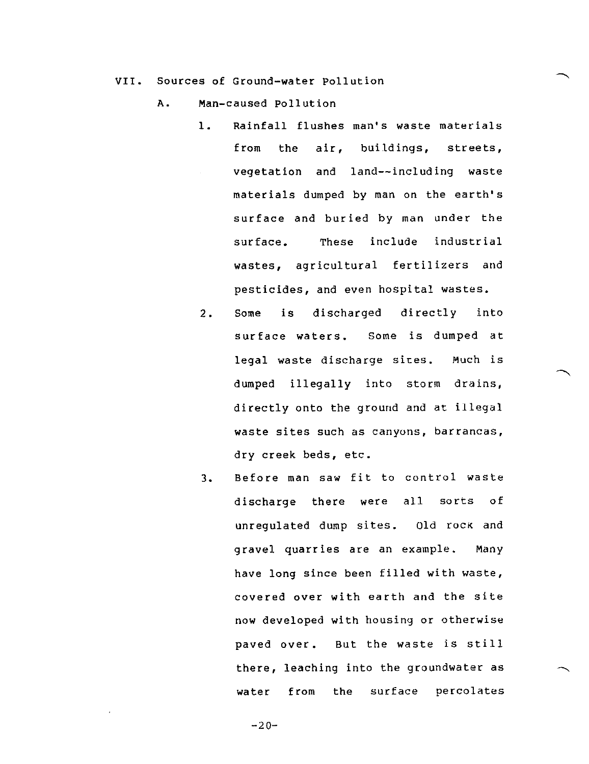- VII. Sources of Ground-water Pollution
	- A. Man-caused Pollution
		- 1. Rainfall flushes man's waste materials from the air, buildings, streets, vegetation and land--including waste materials dumped by man on the earth's surface and buried by man under the surface. These include industrial wastes, agricultural fertilizers and pesticides, and even hospital wastes.
		- 2. Some is discharged directly into surface waters. Some is dumped at legal waste discharge sires. Much is dumped illegally into storm drains, directly onto the ground and at illegal waste sites such as canyons, barrancas, dry creek beds, etc.
		- 3. Before man saw fit to control waste discharge there were all sorts of unregulated dump sites. Old rock and gravel quarries are an example. Many have long since been filled with waste, covered over with earth and the site now developed with housing or otherwise paved over. But the waste is still there, leaching into the groundwater as water from the surface percolates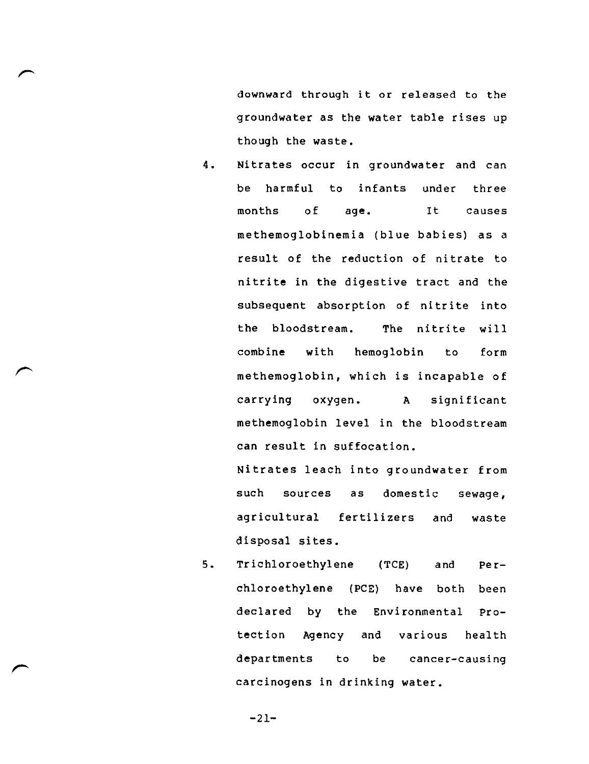downward through it or released to the groundwater as the water table rises up though the waste.

4. Nitrates occur in groundwater and can be harmful to infants under three months of age. It causes methemoglobinemia (blue babies) as a result of the reduction of nitrate to nitrite in the digestive tract and the subsequent absorption of nitrite into the bloodstream. The nitrite will combine with hemoglobin to form methemoglobin, which is incapable of carrying oxygen. A significant methemoglobin level in the bloodstream can result in suffocation.

> Nitrates leach into groundwater from such sources as domestic sewage, agricultural fertilizers and waste disposal sites.

5. Trichloroethylene (TCE) and Perchloroethylene (PCE) have both been declared by the Environmental Protection Agency and various health departments to be cancer-causing carcinogens in drinking water.

 $-21-$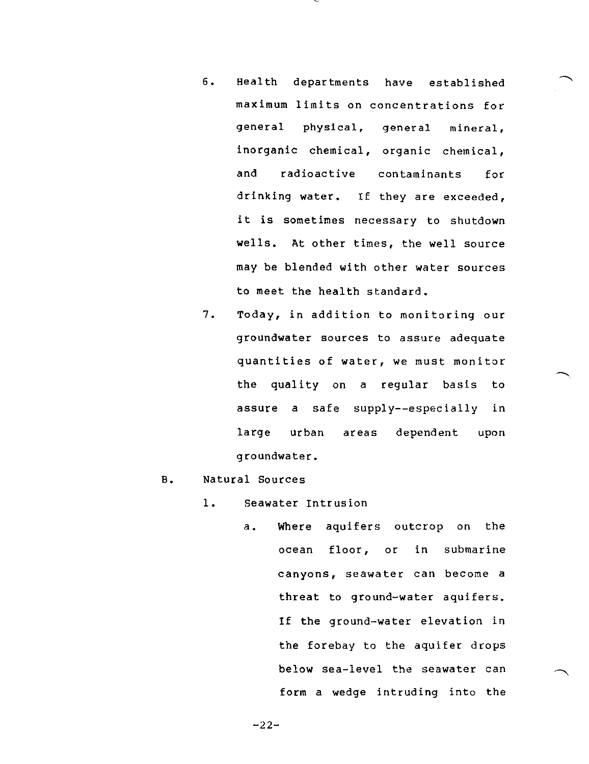- 6. Health departments have established maximum limits on concentrations for general physical, general mineral, inorganic chemical, organic chemical, and radioactive contaminants for drinking water. if they are exceeded, it is sometimes necessary to shutdown wells. At other times, the well source may be blended with other water sources to meet the health standard.
- 7. Today, in addition to monitoring our groundwater sources to assure adequate quantities of water, we must monitor the quality on a regular basis to assure a safe supply--especially in large urban areas dependent upon groundwater.
- B. Natural Sources
	- 1. Seawater Intrusion
		- a. Where aquifers outcrop on the ocean floor, or in submarine canyons, seawater can become a threat to ground-water aquifers. If the ground-water elevation in the forebay to the aquifer drops below sea-level the seawater can form a wedge intruding into the

-22-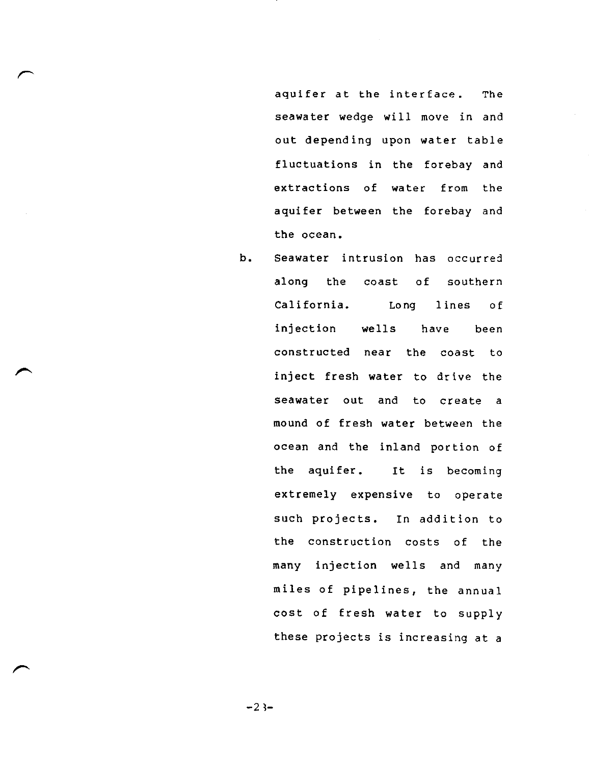aquifer at the interface. The seawater wedge will move in and out depending upon water table fluctuations in the forebay and extractions of water from the aquifer between the forebay and the ocean.

b. Seawater intrusion has occurred along the coast of southern California. Long lines of injection wells have been constructed near the coast to inject fresh water to drive the seawater out and to create a mound of fresh water between the ocean and the inland portion of the aquifer. It is becoming extremely expensive to operate such projects. In addition to the construction costs of the many injection wells and many miles of pipelines, the annual cost of fresh water to supply these projects is increasing at a

 $-23-$ 

 $\epsilon$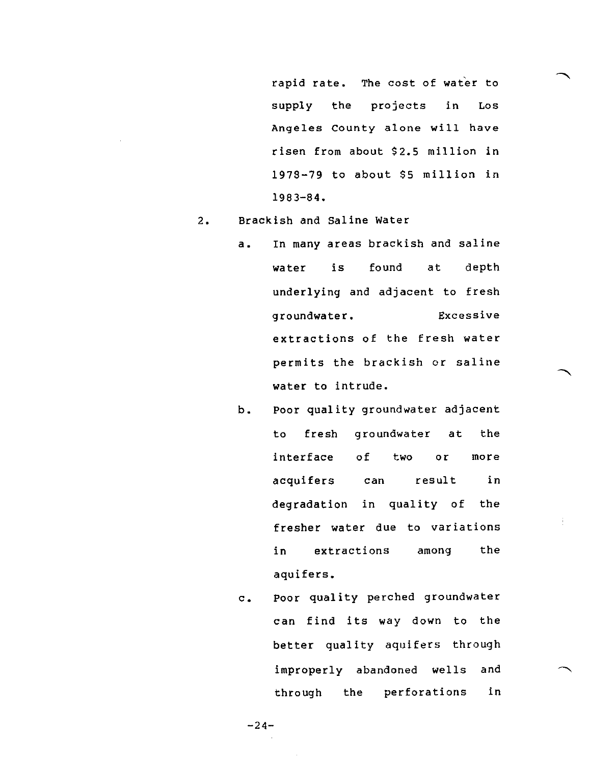rapid rate. The cost of water to supply the projects in Los Angeles County alone will have risen from about \$2.5 million in 1978-79 to about \$5 million in 1983-84.

- 2. Brackish and Saline Water
	- a. In many areas brackish and saline water is found at depth underlying and adjacent to fresh groundwater. Excessive extractions of the fresh water permits the brackish or saline water to intrude.
	- b. Poor quality groundwater adjacent to fresh groundwater at the interface of two or more acquifers can result in degradation in quality of the fresher water due to variations in extractions among the aquifers.
	- c. Poor quality perched groundwater can find its way down to the better quality aquifers through improperly abandoned wells and through the perforations in

 $-24-$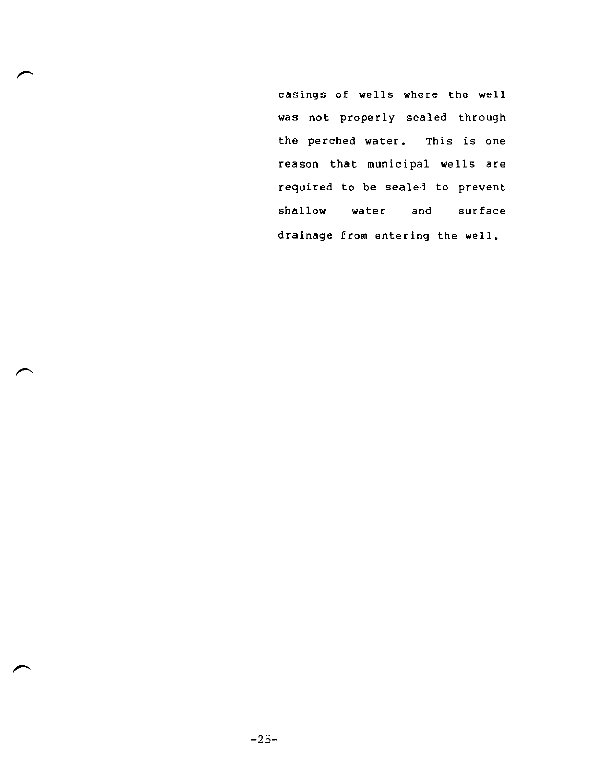casings of wells where the well was not properly sealed through the perched water. This is one reason that municipal wells are required to be sealed to prevent shallow water and surface drainage from entering the well.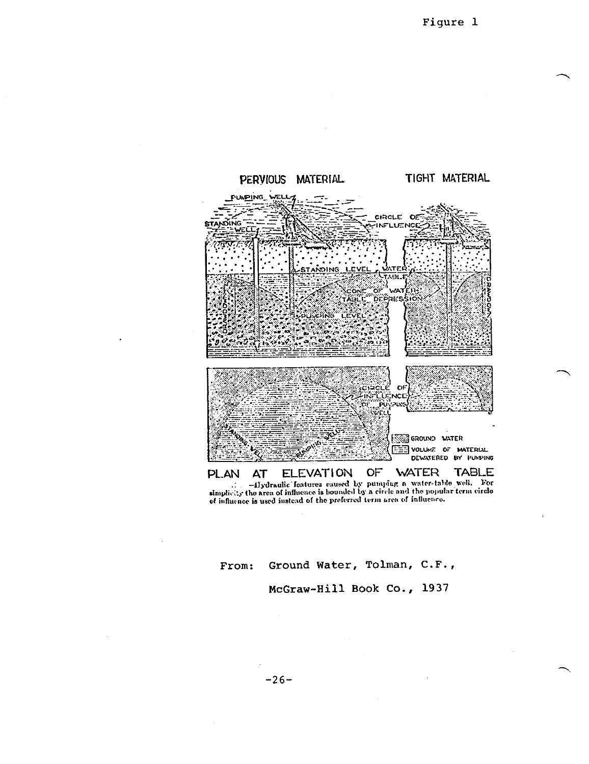

in the simplicity the area of influence is bounded by pumping a water-table well. For simplicity the area of influence is bounded by a circle and the popular term circle of influence is used instead of the preferred term a

#### Ground Water, Tolman, C.F., From:

McGraw-Hill Book Co., 1937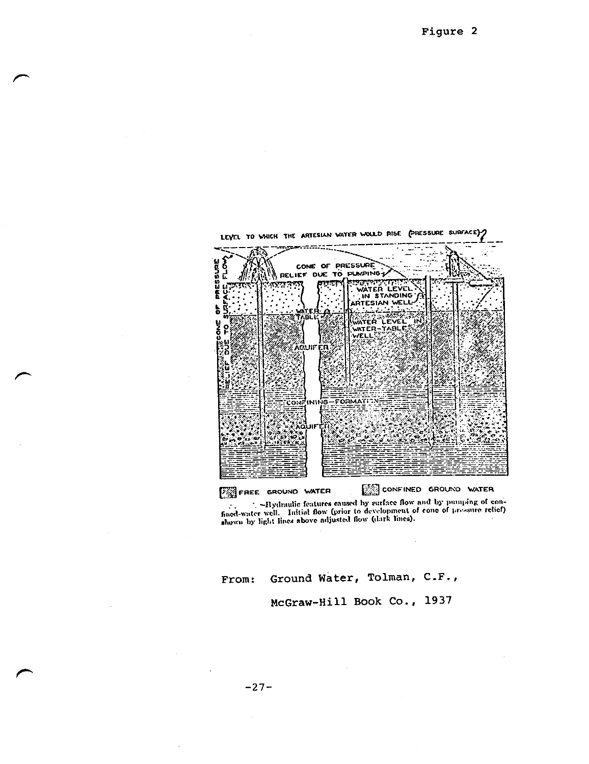

CONFINED GROUND WATER FREE GROUND WATER

. - Hydraulic features caused by surface flow and by pumping of confined-water well. Initial flow (prior to development of cone of pressure relief) shown by light lines above adjusted flow (dark lines).

#### Ground Water, Tolman, C.F., From:

McGraw-Hill Book Co., 1937

 $-27-$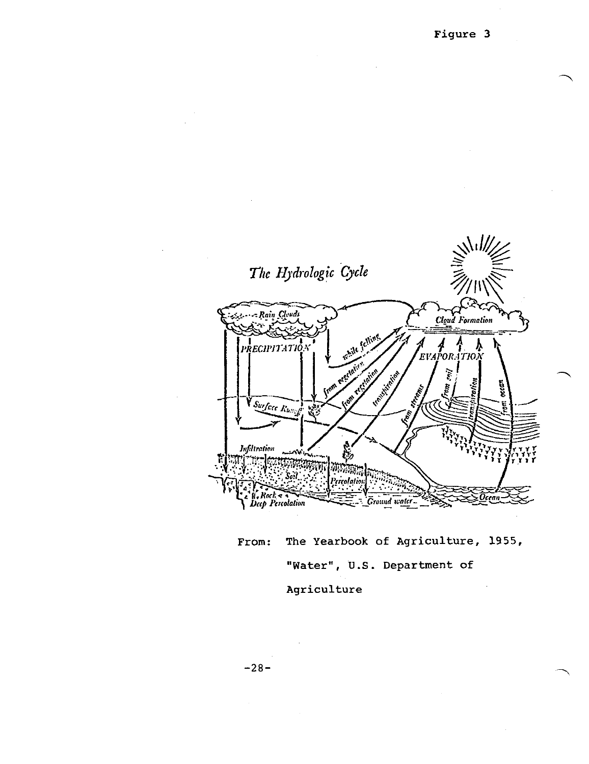